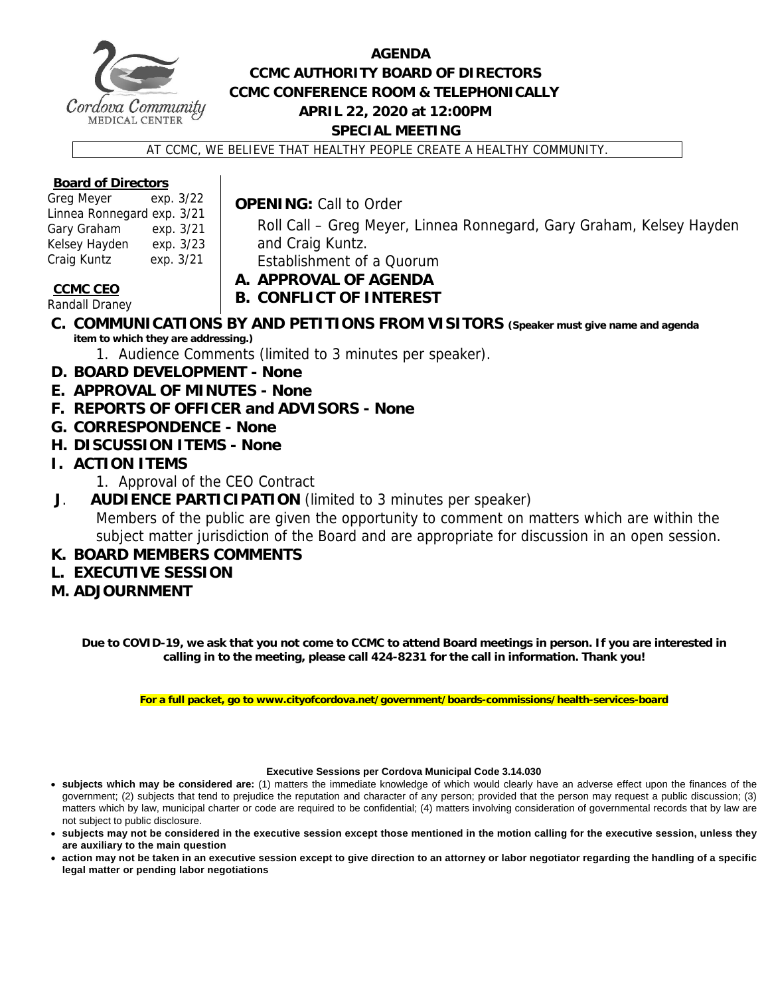

## **AGENDA CCMC AUTHORITY BOARD OF DIRECTORS CCMC CONFERENCE ROOM & TELEPHONICALLY APRIL 22, 2020 at 12:00PM SPECIAL MEETING**

AT CCMC, WE BELIEVE THAT HEALTHY PEOPLE CREATE A HEALTHY COMMUNITY.

#### **Board of Directors**

| Greg Meyer                 | exp. 3/22 |  |
|----------------------------|-----------|--|
| Linnea Ronnegard exp. 3/21 |           |  |
| Gary Graham                | exp. 3/21 |  |
| Kelsey Hayden              | exp. 3/23 |  |
| Craig Kuntz                | exp. 3/21 |  |

**OPENING:** Call to Order

Roll Call – Greg Meyer, Linnea Ronnegard, Gary Graham, Kelsey Hayden and Craig Kuntz. Establishment of a Quorum

**CCMC CEO** 

**A. APPROVAL OF AGENDA B. CONFLICT OF INTEREST** 

Randall Draney

- **C. COMMUNICATIONS BY AND PETITIONS FROM VISITORS (Speaker must give name and agenda item to which they are addressing.)**
	- 1. Audience Comments (limited to 3 minutes per speaker).
- **D. BOARD DEVELOPMENT None**
- **E. APPROVAL OF MINUTES None**
- **F. REPORTS OF OFFICER and ADVISORS None**
- **G. CORRESPONDENCE None**
- **H. DISCUSSION ITEMS None**
- **I. ACTION ITEMS** 
	- 1. Approval of the CEO Contract
- **J**. **AUDIENCE PARTICIPATION** (limited to 3 minutes per speaker)

Members of the public are given the opportunity to comment on matters which are within the subject matter jurisdiction of the Board and are appropriate for discussion in an open session.

### **K. BOARD MEMBERS COMMENTS**

- **L. EXECUTIVE SESSION**
- **M. ADJOURNMENT**

**Due to COVID-19, we ask that you not come to CCMC to attend Board meetings in person. If you are interested in calling in to the meeting, please call 424-8231 for the call in information. Thank you!** 

**For a full packet, go to www.cityofcordova.net/government/boards-commissions/health-services-board** 

#### **Executive Sessions per Cordova Municipal Code 3.14.030**

- **subjects which may be considered are:** (1) matters the immediate knowledge of which would clearly have an adverse effect upon the finances of the government; (2) subjects that tend to prejudice the reputation and character of any person; provided that the person may request a public discussion; (3) matters which by law, municipal charter or code are required to be confidential; (4) matters involving consideration of governmental records that by law are not subject to public disclosure.
- **subjects may not be considered in the executive session except those mentioned in the motion calling for the executive session, unless they are auxiliary to the main question**
- **action may not be taken in an executive session except to give direction to an attorney or labor negotiator regarding the handling of a specific legal matter or pending labor negotiations**